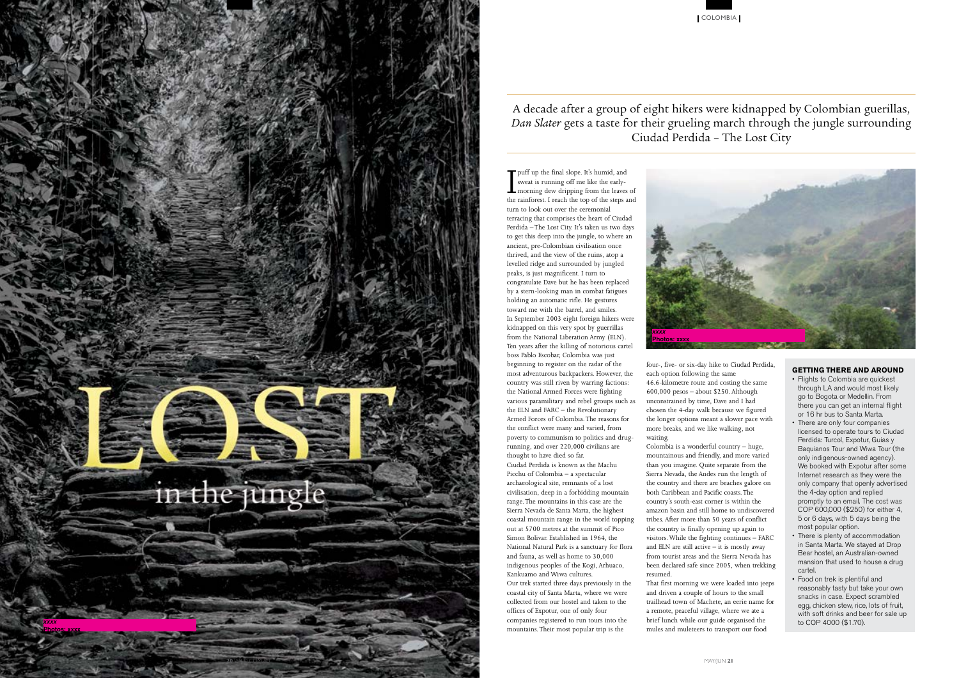



## A decade after a group of eight hikers were kidnapped by Colombian guerillas, *Dan Slater* gets a taste for their grueling march through the jungle surrounding Ciudad Perdida – The Lost City

Fulff up the final slope. It's humid, and<br>sweat is running off me like the early-<br>morning dew dripping from the leaves<br>the rainforest I reach the top of the steps a sweat is running off me like the earlymorning dew dripping from the leaves of the rainforest. I reach the top of the steps and turn to look out over the ceremonial terracing that comprises the heart of Ciudad Perdida – The Lost City. It's taken us two days to get this deep into the jungle, to where an ancient, pre-Colombian civilisation once thrived, and the view of the ruins, atop a levelled ridge and surrounded by jungled peaks, is just magnificent. I turn to congratulate Dave but he has been replaced by a stern-looking man in combat fatigues holding an automatic rifle. He gestures toward me with the barrel, and smiles. In September 2003 eight foreign hikers were kidnapped on this very spot by guerrillas from the National Liberation Army (ELN). Ten years after the killing of notorious cartel boss Pablo Escobar, Colombia was just beginning to register on the radar of the most adventurous backpackers. However, the country was still riven by warring factions: the National Armed Forces were fighting various paramilitary and rebel groups such as the ELN and FARC – the Revolutionary Armed Forces of Colombia. The reasons for the conflict were many and varied, from poverty to communism to politics and drugrunning, and over 220,000 civilians are thought to have died so far. Ciudad Perdida is known as the Machu Picchu of Colombia – a spectacular archaeological site, remnants of a lost civilisation, deep in a forbidding mountain range. The mountains in this case are the Sierra Nevada de Santa Marta, the highest coastal mountain range in the world topping out at 5700 metres at the summit of Pico Simon Bolivar. Established in 1964, the National Natural Park is a sanctuary for flora and fauna, as well as home to 30,000 indigenous peoples of the Kogi, Arhuaco, Kankuamo and Wiwa cultures. Our trek started three days previously in the coastal city of Santa Marta, where we were collected from our hostel and taken to the offices of Expotur, one of only four companies registered to run tours into the mountains. Their most popular trip is the

four-, five- or six-day hike to Ciudad Perdida, each option following the same 46.6-kilometre route and costing the same 600,000 pesos – about \$250. Although unconstrained by time, Dave and I had chosen the 4-day walk because we figured the longer options meant a slower pace with more breaks, and we like walking, not waiting.

Colombia is a wonderful country – huge, mountainous and friendly, and more varied than you imagine. Quite separate from the Sierra Nevada, the Andes run the length of the country and there are beaches galore on both Caribbean and Pacific coasts. The country's south-east corner is within the amazon basin and still home to undiscovered tribes. After more than 50 years of conflict the country is finally opening up again to visitors. While the fighting continues – FARC and ELN are still active  $-$  it is mostly away from tourist areas and the Sierra Nevada has been declared safe since 2005, when trekking resumed.

That first morning we were loaded into jeeps and driven a couple of hours to the small trailhead town of Machete, an eerie name for a remote, peaceful village, where we ate a brief lunch while our guide organised the mules and muleteers to transport our food

## **GETTING THERE AND AROUND**

- Flights to Colombia are quickest through LA and would most likely go to Bogota or Medellin. From there you can get an internal flight or 16 hr bus to Santa Marta.
- There are only four companies licensed to operate tours to Ciudad Perdida: Turcol, Expotur, Guias y Baquianos Tour and Wiwa Tour (the only indigenous-owned agency). We booked with Expotur after some Internet research as they were the only company that openly advertised the 4-day option and replied promptly to an email. The cost was COP 600,000 (\$250) for either 4, 5 or 6 days, with 5 days being the most popular option.
- There is plenty of accommodation in Santa Marta. We stayed at Drop Bear hostel, an Australian-owned mansion that used to house a drug cartel.
- Food on trek is plentiful and reasonably tasty but take your own snacks in case. Expect scrambled egg, chicken stew, rice, lots of fruit, with soft drinks and beer for sale up to COP 4000 (\$1.70).